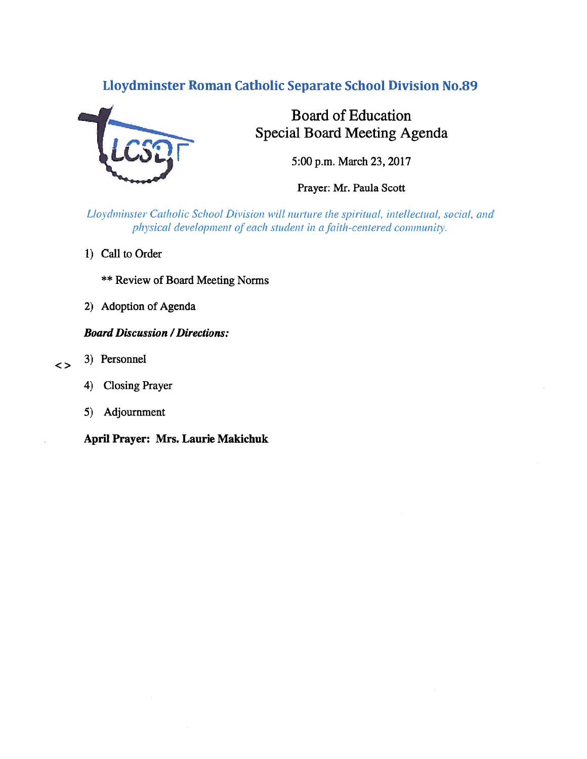## Lloydminster Roman Catholic Separate School Division No.89



# Board of Education Special Board Meeting Agenda

5:00 p.m. March 23, 2017

Prayer: Mr. Paula Scott

Lloydminster Catholic School Division will nurture the spiritual, intellectual, social, and physical development of each student in a faith-centered community.

- 1) Call to Order
	- \*\* Review of Board Meeting Norms
- 2) Adoption of Agenda

## **Board Discussion / Directions:**

- <> 3) Personnel
	- 4) Closing Prayer
	- 5) Adjournment

April Prayer: Mrs. Laurie Makichuk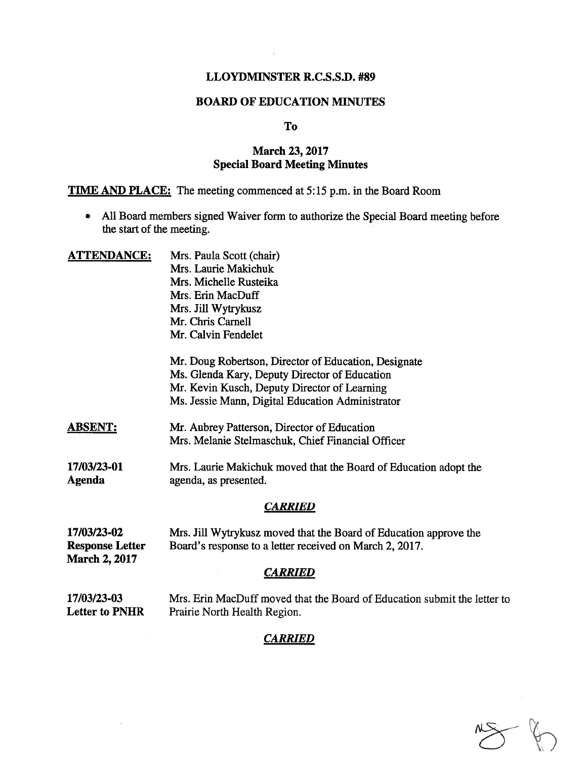## LLOYDMINSTER R.C.S.S.D. #89

## BOARD OF EDUCATION MINUTES

#### To

## March 23,2017 Special Board Meeting Minutes

TIME AND PLACE: The meeting commenced at 5:15 p.m. in the Board Room

• All Board members signed Waiver form to authorize the Special Board meeting before the start of the meeting.

| Mrs. Paula Scott (chair)                                                                                                     |
|------------------------------------------------------------------------------------------------------------------------------|
| Mrs. Laurie Makichuk                                                                                                         |
| Mrs. Michelle Rusteika                                                                                                       |
| Mrs. Erin MacDuff                                                                                                            |
| Mrs. Jill Wytrykusz                                                                                                          |
| Mr. Chris Carnell                                                                                                            |
| Mr. Calvin Fendelet                                                                                                          |
| Mr. Doug Robertson, Director of Education, Designate<br>Ms. Glenda Kary, Deputy Director of Education                        |
| Mr. Kevin Kusch, Deputy Director of Learning                                                                                 |
| Ms. Jessie Mann, Digital Education Administrator                                                                             |
| Mr. Aubrey Patterson, Director of Education<br>Mrs. Melanie Stelmaschuk, Chief Financial Officer                             |
| Mrs. Laurie Makichuk moved that the Board of Education adopt the<br>agenda, as presented.                                    |
| <b>CARRIED</b>                                                                                                               |
| Mrs. Jill Wytrykusz moved that the Board of Education approve the<br>Board's response to a letter received on March 2, 2017. |
| <b>CARRIED</b>                                                                                                               |
| Mrs. Erin MacDuff moved that the Board of Education submit the letter to                                                     |
|                                                                                                                              |

Letter to PNHR Prairie North Health Region.

#### **CARRIED**

 $\tilde{V}$ 

 $\begin{picture}(120,15) \put(0,0){\vector(1,0){15}} \put(15,0){\vector(1,0){15}} \put(15,0){\vector(1,0){15}} \put(15,0){\vector(1,0){15}} \put(15,0){\vector(1,0){15}} \put(15,0){\vector(1,0){15}} \put(15,0){\vector(1,0){15}} \put(15,0){\vector(1,0){15}} \put(15,0){\vector(1,0){15}} \put(15,0){\vector(1,0){15}} \put(15,0){\vector(1,0){15}} \put(15,0){\vector($